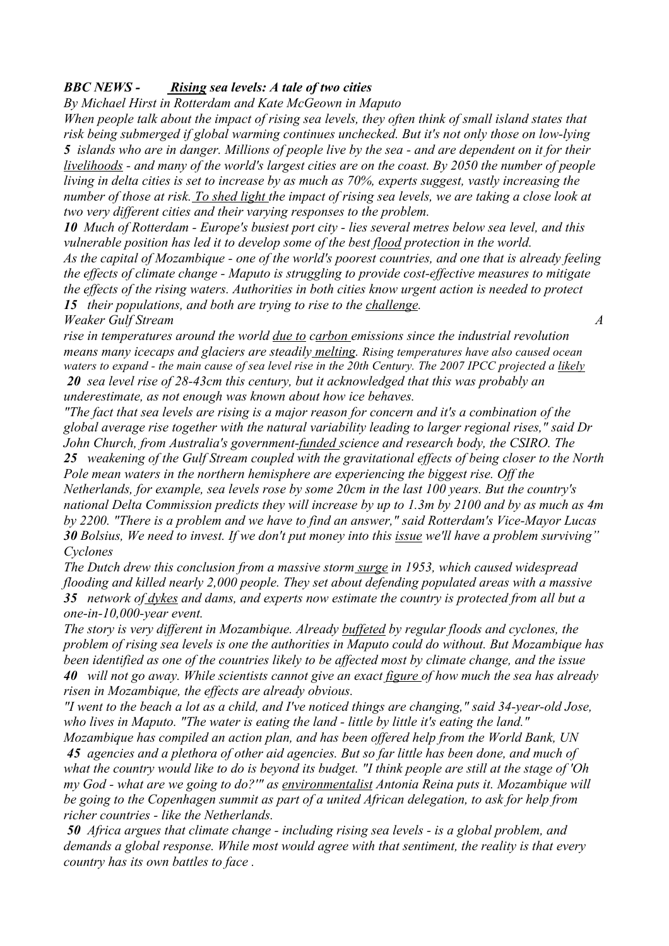## *BBC NEWS - Rising sea levels: A tale of two cities*

*By Michael Hirst in Rotterdam and Kate McGeown in Maputo* 

*When people talk about the impact of rising sea levels, they often think of small island states that risk being submerged if global warming continues unchecked. But it's not only those on low-lying 5 islands who are in danger. Millions of people live by the sea - and are dependent on it for their livelihoods - and many of the world's largest cities are on the coast. By 2050 the number of people living in delta cities is set to increase by as much as 70%, experts suggest, vastly increasing the number of those at risk. To shed light the impact of rising sea levels, we are taking a close look at two very different cities and their varying responses to the problem.* 

*10 Much of Rotterdam - Europe's busiest port city - lies several metres below sea level, and this vulnerable position has led it to develop some of the best flood protection in the world. As the capital of Mozambique - one of the world's poorest countries, and one that is already feeling the effects of climate change - Maputo is struggling to provide cost-effective measures to mitigate the effects of the rising waters. Authorities in both cities know urgent action is needed to protect 15 their populations, and both are trying to rise to the challenge.* 

*Weaker Gulf Stream A* 

*rise in temperatures around the world due to carbon emissions since the industrial revolution means many icecaps and glaciers are steadily melting. Rising temperatures have also caused ocean waters to expand - the main cause of sea level rise in the 20th Century. The 2007 IPCC projected a likely 20 sea level rise of 28-43cm this century, but it acknowledged that this was probably an underestimate, as not enough was known about how ice behaves.* 

*"The fact that sea levels are rising is a major reason for concern and it's a combination of the global average rise together with the natural variability leading to larger regional rises," said Dr John Church, from Australia's government-funded science and research body, the CSIRO. The* 

*25 weakening of the Gulf Stream coupled with the gravitational effects of being closer to the North Pole mean waters in the northern hemisphere are experiencing the biggest rise. Off the Netherlands, for example, sea levels rose by some 20cm in the last 100 years. But the country's national Delta Commission predicts they will increase by up to 1.3m by 2100 and by as much as 4m by 2200. "There is a problem and we have to find an answer," said Rotterdam's Vice-Mayor Lucas 30 Bolsius, We need to invest. If we don't put money into this issue we'll have a problem surviving" Cyclones* 

*The Dutch drew this conclusion from a massive storm surge in 1953, which caused widespread flooding and killed nearly 2,000 people. They set about defending populated areas with a massive 35 network of dykes and dams, and experts now estimate the country is protected from all but a one-in-10,000-year event.* 

*The story is very different in Mozambique. Already buffeted by regular floods and cyclones, the problem of rising sea levels is one the authorities in Maputo could do without. But Mozambique has been identified as one of the countries likely to be affected most by climate change, and the issue 40 will not go away. While scientists cannot give an exact figure of how much the sea has already risen in Mozambique, the effects are already obvious.* 

*"I went to the beach a lot as a child, and I've noticed things are changing," said 34-year-old Jose, who lives in Maputo. "The water is eating the land - little by little it's eating the land."* 

*Mozambique has compiled an action plan, and has been offered help from the World Bank, UN 45 agencies and a plethora of other aid agencies. But so far little has been done, and much of what the country would like to do is beyond its budget. "I think people are still at the stage of 'Oh my God - what are we going to do?'" as environmentalist Antonia Reina puts it. Mozambique will be going to the Copenhagen summit as part of a united African delegation, to ask for help from richer countries - like the Netherlands.* 

*50 Africa argues that climate change - including rising sea levels - is a global problem, and demands a global response. While most would agree with that sentiment, the reality is that every country has its own battles to face .*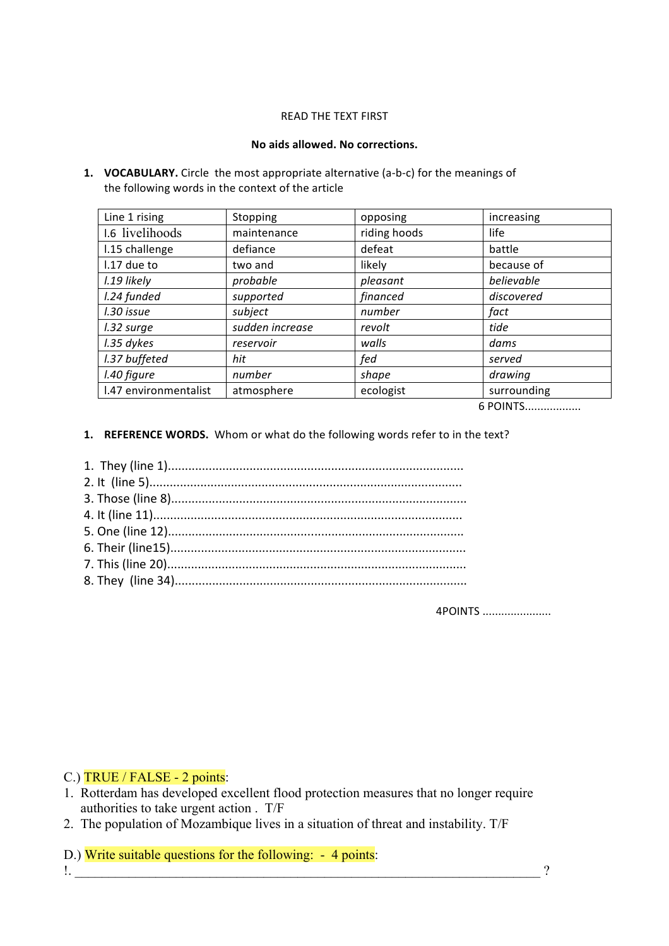### READ THE TEXT FIRST

### **No aids allowed. No corrections.**

**1. VOCABULARY.** Circle the most appropriate alternative (a‐b‐c) for the meanings of the following words in the context of the article

| Line 1 rising         | Stopping        | opposing     | increasing  |
|-----------------------|-----------------|--------------|-------------|
| 1.6 livelihoods       | maintenance     | riding hoods | life        |
| I.15 challenge        | defiance        | defeat       | battle      |
| I.17 due to           | two and         | likely       | because of  |
| l.19 likely           | probable        | pleasant     | believable  |
| I.24 funded           | supported       | financed     | discovered  |
| l.30 issue            | subject         | number       | fact        |
| I.32 surge            | sudden increase | revolt       | tide        |
| I.35 dykes            | reservoir       | walls        | dams        |
| I.37 buffeted         | hit             | fed          | served      |
| I.40 figure           | number          | shape        | drawing     |
| I.47 environmentalist | atmosphere      | ecologist    | surrounding |
|                       |                 |              |             |

6 POINTS..................

**1. REFERENCE WORDS.**  Whom or what do the following words refer to in the text?

4POINTS ......................

## C.) TRUE / FALSE - 2 points:

- 1. Rotterdam has developed excellent flood protection measures that no longer require authorities to take urgent action . T/F
- 2. The population of Mozambique lives in a situation of threat and instability. T/F

D.) Write suitable questions for the following: - 4 points:  $\blacksquare$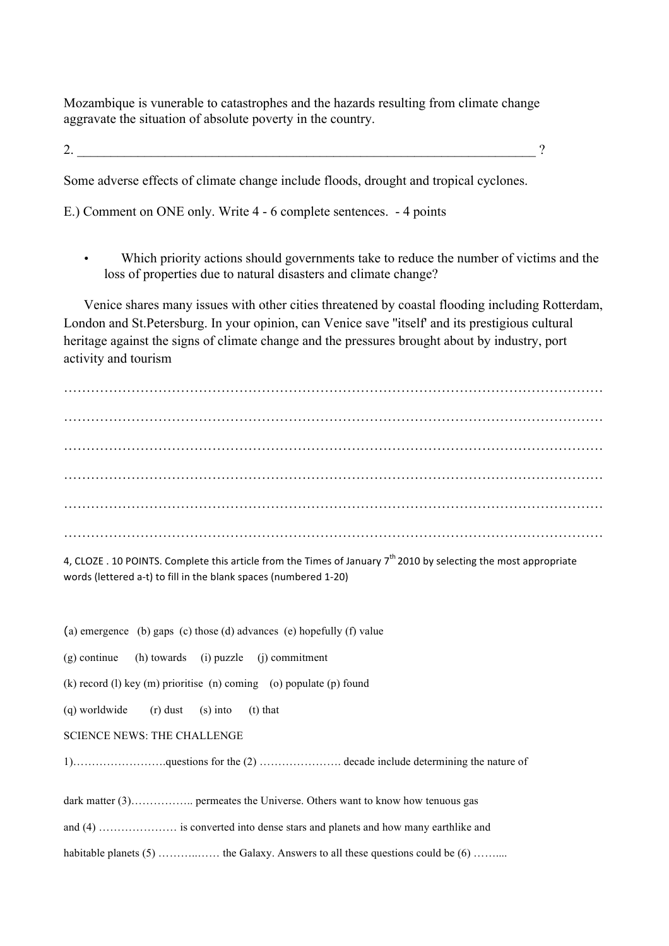Mozambique is vunerable to catastrophes and the hazards resulting from climate change aggravate the situation of absolute poverty in the country.

2.  $\overline{\phantom{a}2.}$ 

Some adverse effects of climate change include floods, drought and tropical cyclones.

E.) Comment on ONE only. Write 4 - 6 complete sentences. - 4 points

• Which priority actions should governments take to reduce the number of victims and the loss of properties due to natural disasters and climate change?

 Venice shares many issues with other cities threatened by coastal flooding including Rotterdam, London and St.Petersburg. In your opinion, can Venice save ''itself' and its prestigious cultural heritage against the signs of climate change and the pressures brought about by industry, port activity and tourism

…………………………………………………………………………………………………………

4. CLOZE . 10 POINTS. Complete this article from the Times of January  $7<sup>th</sup>$  2010 by selecting the most appropriate words (lettered a‐t) to fill in the blank spaces (numbered 1‐20)

(a) emergence (b) gaps (c) those (d) advances (e) hopefully (f) value (g) continue (h) towards (i) puzzle (j) commitment (k) record (l) key (m) prioritise (n) coming (o) populate (p) found (q) worldwide (r) dust (s) into (t) that SCIENCE NEWS: THE CHALLENGE 1)…………………….questions for the (2) …………………. decade include determining the nature of dark matter (3)…………….. permeates the Universe. Others want to know how tenuous gas and (4) ………………… is converted into dense stars and planets and how many earthlike and habitable planets  $(5)$  …………… the Galaxy. Answers to all these questions could be  $(6)$  ………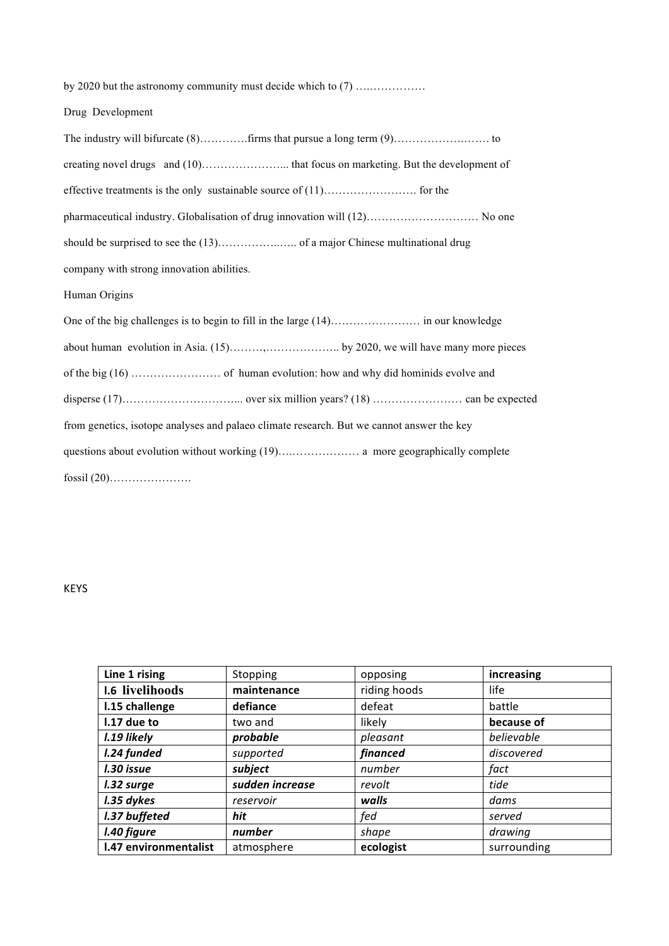| by 2020 but the astronomy community must decide which to (7)                              |  |  |  |  |  |
|-------------------------------------------------------------------------------------------|--|--|--|--|--|
| Drug Development                                                                          |  |  |  |  |  |
|                                                                                           |  |  |  |  |  |
|                                                                                           |  |  |  |  |  |
|                                                                                           |  |  |  |  |  |
| pharmaceutical industry. Globalisation of drug innovation will (12) No one                |  |  |  |  |  |
|                                                                                           |  |  |  |  |  |
| company with strong innovation abilities.                                                 |  |  |  |  |  |
| Human Origins                                                                             |  |  |  |  |  |
|                                                                                           |  |  |  |  |  |
|                                                                                           |  |  |  |  |  |
|                                                                                           |  |  |  |  |  |
|                                                                                           |  |  |  |  |  |
| from genetics, isotope analyses and palaeo climate research. But we cannot answer the key |  |  |  |  |  |
|                                                                                           |  |  |  |  |  |
|                                                                                           |  |  |  |  |  |

# KEYS

| Line 1 rising         | Stopping        | opposing     | increasing  |
|-----------------------|-----------------|--------------|-------------|
| 1.6 livelihoods       | maintenance     | riding hoods | life        |
| I.15 challenge        | defiance        | defeat       | battle      |
| I.17 due to           | two and         | likely       | because of  |
| l.19 likely           | probable        | pleasant     | believable  |
| I.24 funded           | supported       | financed     | discovered  |
| l.30 issue            | subject         | number       | fact        |
| I.32 surge            | sudden increase | revolt       | tide        |
| I.35 dykes            | reservoir       | walls        | dams        |
| I.37 buffeted         | hit             | fed          | served      |
| I.40 figure           | number          | shape        | drawing     |
| I.47 environmentalist | atmosphere      | ecologist    | surrounding |